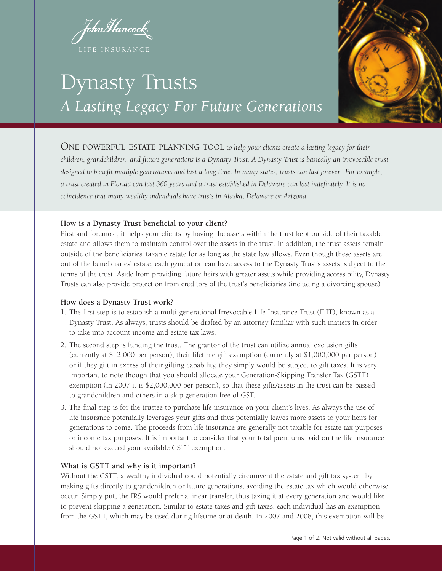fohnMancock. LIFE INSURANCE



# Dynasty Trusts *A Lasting Legacy For Future Generations*

ONE POWERFUL ESTATE PLANNING TOOL <sup>t</sup>*<sup>o</sup> help your clients create a lasting legacy for their children, grandchildren, and future generations is a Dynasty Trust. A Dynasty Trust is basically an irrevocable trust designed to benefit multiple generations and last a long time. In many states, trusts can last forever.1 For example, a trust created in Florida can last 360 years and a trust established in Delaware can last indefinitely. It is no coincidence that many wealthy individuals have trusts in Alaska, Delaware or Arizona.* 

# **How is a Dynasty Trust beneficial to your client?**

First and foremost, it helps your clients by having the assets within the trust kept outside of their taxable estate and allows them to maintain control over the assets in the trust. In addition, the trust assets remain outside of the beneficiaries' taxable estate for as long as the state law allows. Even though these assets are out of the beneficiaries' estate, each generation can have access to the Dynasty Trust's assets, subject to the terms of the trust. Aside from providing future heirs with greater assets while providing accessibility, Dynasty Trusts can also provide protection from creditors of the trust's beneficiaries (including a divorcing spouse).

### **How does a Dynasty Trust work?**

- 1. The first step is to establish a multi-generational Irrevocable Life Insurance Trust (ILIT), known as a Dynasty Trust. As always, trusts should be drafted by an attorney familiar with such matters in order to take into account income and estate tax laws.
- 2. The second step is funding the trust. The grantor of the trust can utilize annual exclusion gifts (currently at \$12,000 per person), their lifetime gift exemption (currently at \$1,000,000 per person) or if they gift in excess of their gifting capability, they simply would be subject to gift taxes. It is very important to note though that you should allocate your Generation-Skipping Transfer Tax (GSTT) exemption (in 2007 it is \$2,000,000 per person), so that these gifts/assets in the trust can be passed to grandchildren and others in a skip generation free of GST.
- 3. The final step is for the trustee to purchase life insurance on your client's lives. As always the use of life insurance potentially leverages your gifts and thus potentially leaves more assets to your heirs for generations to come. The proceeds from life insurance are generally not taxable for estate tax purposes or income tax purposes. It is important to consider that your total premiums paid on the life insurance should not exceed your available GSTT exemption.

# **What is GSTT and why is it important?**

Without the GSTT, a wealthy individual could potentially circumvent the estate and gift tax system by making gifts directly to grandchildren or future generations, avoiding the estate tax which would otherwise occur. Simply put, the IRS would prefer a linear transfer, thus taxing it at every generation and would like to prevent skipping a generation. Similar to estate taxes and gift taxes, each individual has an exemption from the GSTT, which may be used during lifetime or at death. In 2007 and 2008, this exemption will be